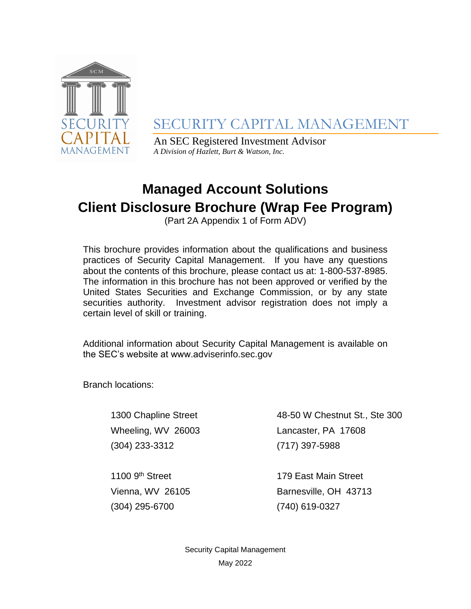

SECURITY CAPITAL MANAGEMENT

An SEC Registered Investment Advisor *A Division of Hazlett, Burt & Watson, Inc.*

# **Managed Account Solutions**

**Client Disclosure Brochure (Wrap Fee Program)**

(Part 2A Appendix 1 of Form ADV)

This brochure provides information about the qualifications and business practices of Security Capital Management. If you have any questions about the contents of this brochure, please contact us at: 1-800-537-8985. The information in this brochure has not been approved or verified by the United States Securities and Exchange Commission, or by any state securities authority. Investment advisor registration does not imply a certain level of skill or training.

Additional information about Security Capital Management is available on the SEC's website at www.adviserinfo.sec.gov

Branch locations:

(304) 233-3312 (717) 397-5988

1300 Chapline Street 48-50 W Chestnut St., Ste 300 Wheeling, WV 26003 Lancaster, PA 17608

1100 9<sup>th</sup> Street (304) 295-6700 (740) 619-0327

179 East Main Street Vienna, WV 26105 Barnesville, OH 43713

> Security Capital Management May 2022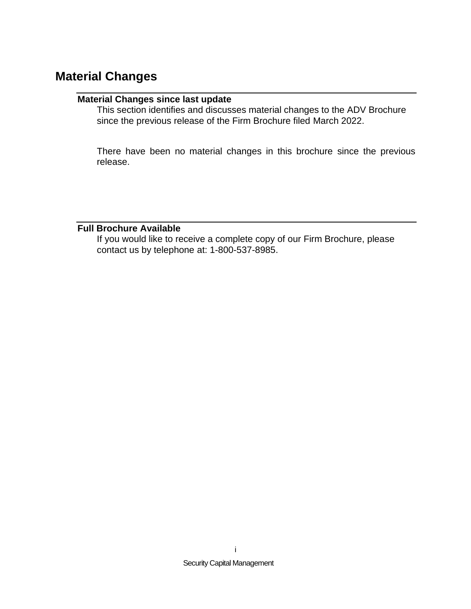## <span id="page-1-1"></span><span id="page-1-0"></span>**Material Changes**

#### <span id="page-1-2"></span>**Material Changes since last update**

This section identifies and discusses material changes to the ADV Brochure since the previous release of the Firm Brochure filed March 2022.

There have been no material changes in this brochure since the previous release.

#### **Full Brochure Available**

If you would like to receive a complete copy of our Firm Brochure, please contact us by telephone at: 1-800-537-8985.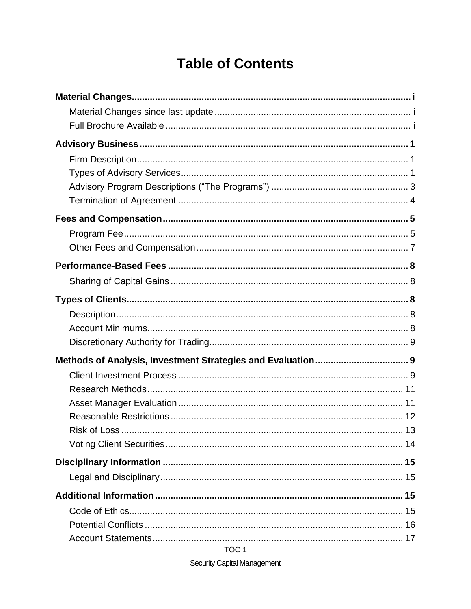# **Table of Contents**

TOC<sub>1</sub>

**Security Capital Management**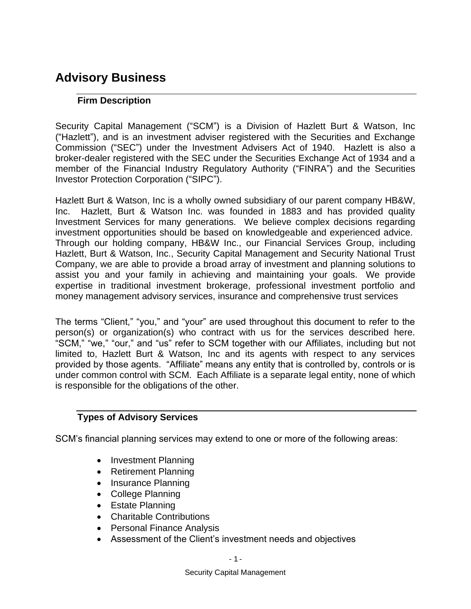# <span id="page-4-1"></span><span id="page-4-0"></span>**Advisory Business**

### **Firm Description**

Security Capital Management ("SCM") is a Division of Hazlett Burt & Watson, Inc ("Hazlett"), and is an investment adviser registered with the Securities and Exchange Commission ("SEC") under the Investment Advisers Act of 1940. Hazlett is also a broker-dealer registered with the SEC under the Securities Exchange Act of 1934 and a member of the Financial Industry Regulatory Authority ("FINRA") and the Securities Investor Protection Corporation ("SIPC").

Hazlett Burt & Watson, Inc is a wholly owned subsidiary of our parent company HB&W, Inc. Hazlett, Burt & Watson Inc. was founded in 1883 and has provided quality Investment Services for many generations. We believe complex decisions regarding investment opportunities should be based on knowledgeable and experienced advice. Through our holding company, HB&W Inc., our Financial Services Group, including Hazlett, Burt & Watson, Inc., Security Capital Management and Security National Trust Company, we are able to provide a broad array of investment and planning solutions to assist you and your family in achieving and maintaining your goals. We provide expertise in traditional investment brokerage, professional investment portfolio and money management advisory services, insurance and comprehensive trust services

The terms "Client," "you," and "your" are used throughout this document to refer to the person(s) or organization(s) who contract with us for the services described here. "SCM," "we," "our," and "us" refer to SCM together with our Affiliates, including but not limited to, Hazlett Burt & Watson, Inc and its agents with respect to any services provided by those agents. "Affiliate" means any entity that is controlled by, controls or is under common control with SCM. Each Affiliate is a separate legal entity, none of which is responsible for the obligations of the other.

#### <span id="page-4-2"></span>**Types of Advisory Services**

SCM's financial planning services may extend to one or more of the following areas:

- Investment Planning
- Retirement Planning
- Insurance Planning
- College Planning
- Estate Planning
- Charitable Contributions
- Personal Finance Analysis
- Assessment of the Client's investment needs and objectives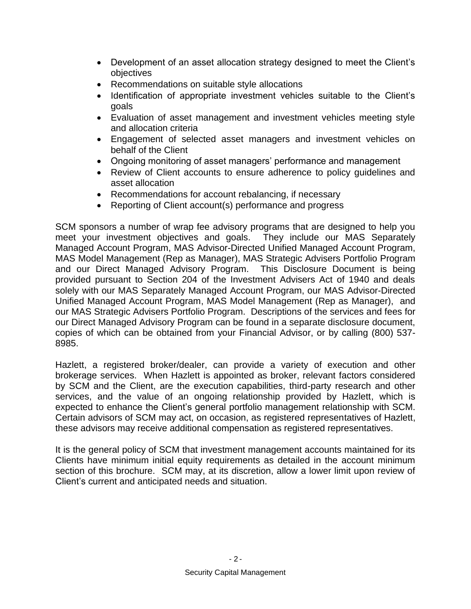- Development of an asset allocation strategy designed to meet the Client's objectives
- Recommendations on suitable style allocations
- Identification of appropriate investment vehicles suitable to the Client's goals
- Evaluation of asset management and investment vehicles meeting style and allocation criteria
- Engagement of selected asset managers and investment vehicles on behalf of the Client
- Ongoing monitoring of asset managers' performance and management
- Review of Client accounts to ensure adherence to policy guidelines and asset allocation
- Recommendations for account rebalancing, if necessary
- Reporting of Client account(s) performance and progress

SCM sponsors a number of wrap fee advisory programs that are designed to help you meet your investment objectives and goals. They include our MAS Separately Managed Account Program, MAS Advisor-Directed Unified Managed Account Program, MAS Model Management (Rep as Manager), MAS Strategic Advisers Portfolio Program and our Direct Managed Advisory Program. This Disclosure Document is being provided pursuant to Section 204 of the Investment Advisers Act of 1940 and deals solely with our MAS Separately Managed Account Program, our MAS Advisor-Directed Unified Managed Account Program, MAS Model Management (Rep as Manager), and our MAS Strategic Advisers Portfolio Program. Descriptions of the services and fees for our Direct Managed Advisory Program can be found in a separate disclosure document, copies of which can be obtained from your Financial Advisor, or by calling (800) 537- 8985.

Hazlett, a registered broker/dealer, can provide a variety of execution and other brokerage services. When Hazlett is appointed as broker, relevant factors considered by SCM and the Client, are the execution capabilities, third-party research and other services, and the value of an ongoing relationship provided by Hazlett, which is expected to enhance the Client's general portfolio management relationship with SCM. Certain advisors of SCM may act, on occasion, as registered representatives of Hazlett, these advisors may receive additional compensation as registered representatives.

It is the general policy of SCM that investment management accounts maintained for its Clients have minimum initial equity requirements as detailed in the account minimum section of this brochure. SCM may, at its discretion, allow a lower limit upon review of Client's current and anticipated needs and situation.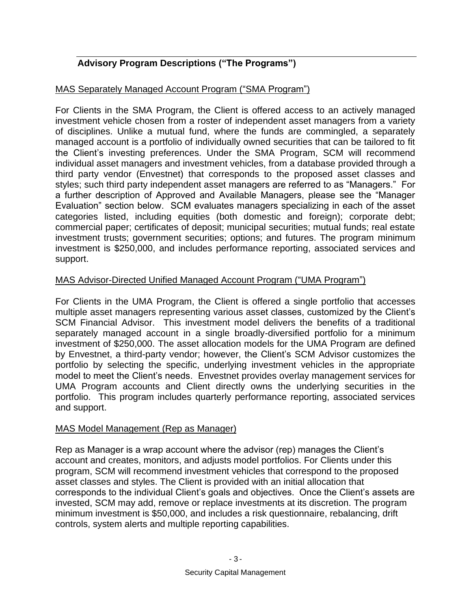### <span id="page-6-0"></span>**Advisory Program Descriptions ("The Programs")**

#### MAS Separately Managed Account Program ("SMA Program")

For Clients in the SMA Program, the Client is offered access to an actively managed investment vehicle chosen from a roster of independent asset managers from a variety of disciplines. Unlike a mutual fund, where the funds are commingled, a separately managed account is a portfolio of individually owned securities that can be tailored to fit the Client's investing preferences. Under the SMA Program, SCM will recommend individual asset managers and investment vehicles, from a database provided through a third party vendor (Envestnet) that corresponds to the proposed asset classes and styles; such third party independent asset managers are referred to as "Managers." For a further description of Approved and Available Managers, please see the "Manager Evaluation" section below. SCM evaluates managers specializing in each of the asset categories listed, including equities (both domestic and foreign); corporate debt; commercial paper; certificates of deposit; municipal securities; mutual funds; real estate investment trusts; government securities; options; and futures. The program minimum investment is \$250,000, and includes performance reporting, associated services and support.

#### MAS Advisor-Directed Unified Managed Account Program ("UMA Program")

For Clients in the UMA Program, the Client is offered a single portfolio that accesses multiple asset managers representing various asset classes, customized by the Client's SCM Financial Advisor. This investment model delivers the benefits of a traditional separately managed account in a single broadly-diversified portfolio for a minimum investment of \$250,000. The asset allocation models for the UMA Program are defined by Envestnet, a third-party vendor; however, the Client's SCM Advisor customizes the portfolio by selecting the specific, underlying investment vehicles in the appropriate model to meet the Client's needs. Envestnet provides overlay management services for UMA Program accounts and Client directly owns the underlying securities in the portfolio. This program includes quarterly performance reporting, associated services and support.

#### MAS Model Management (Rep as Manager)

Rep as Manager is a wrap account where the advisor (rep) manages the Client's account and creates, monitors, and adjusts model portfolios. For Clients under this program, SCM will recommend investment vehicles that correspond to the proposed asset classes and styles. The Client is provided with an initial allocation that corresponds to the individual Client's goals and objectives. Once the Client's assets are invested, SCM may add, remove or replace investments at its discretion. The program minimum investment is \$50,000, and includes a risk questionnaire, rebalancing, drift controls, system alerts and multiple reporting capabilities.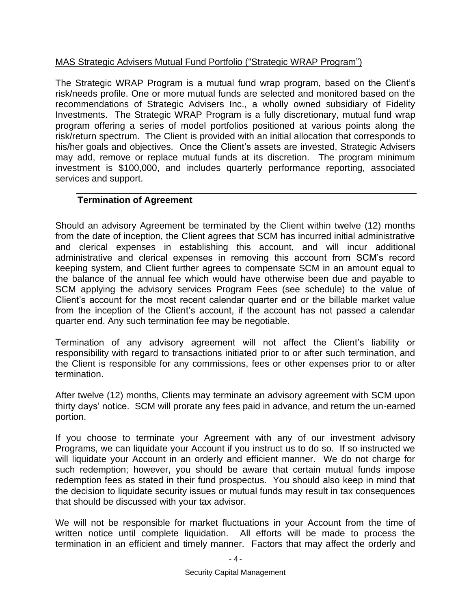#### MAS Strategic Advisers Mutual Fund Portfolio ("Strategic WRAP Program")

The Strategic WRAP Program is a mutual fund wrap program, based on the Client's risk/needs profile. One or more mutual funds are selected and monitored based on the recommendations of Strategic Advisers Inc., a wholly owned subsidiary of Fidelity Investments. The Strategic WRAP Program is a fully discretionary, mutual fund wrap program offering a series of model portfolios positioned at various points along the risk/return spectrum. The Client is provided with an initial allocation that corresponds to his/her goals and objectives. Once the Client's assets are invested, Strategic Advisers may add, remove or replace mutual funds at its discretion. The program minimum investment is \$100,000, and includes quarterly performance reporting, associated services and support.

#### <span id="page-7-0"></span>**Termination of Agreement**

Should an advisory Agreement be terminated by the Client within twelve (12) months from the date of inception, the Client agrees that SCM has incurred initial administrative and clerical expenses in establishing this account, and will incur additional administrative and clerical expenses in removing this account from SCM's record keeping system, and Client further agrees to compensate SCM in an amount equal to the balance of the annual fee which would have otherwise been due and payable to SCM applying the advisory services Program Fees (see schedule) to the value of Client's account for the most recent calendar quarter end or the billable market value from the inception of the Client's account, if the account has not passed a calendar quarter end. Any such termination fee may be negotiable.

Termination of any advisory agreement will not affect the Client's liability or responsibility with regard to transactions initiated prior to or after such termination, and the Client is responsible for any commissions, fees or other expenses prior to or after termination.

After twelve (12) months, Clients may terminate an advisory agreement with SCM upon thirty days' notice. SCM will prorate any fees paid in advance, and return the un-earned portion.

If you choose to terminate your Agreement with any of our investment advisory Programs, we can liquidate your Account if you instruct us to do so. If so instructed we will liquidate your Account in an orderly and efficient manner. We do not charge for such redemption; however, you should be aware that certain mutual funds impose redemption fees as stated in their fund prospectus. You should also keep in mind that the decision to liquidate security issues or mutual funds may result in tax consequences that should be discussed with your tax advisor.

We will not be responsible for market fluctuations in your Account from the time of written notice until complete liquidation. All efforts will be made to process the termination in an efficient and timely manner. Factors that may affect the orderly and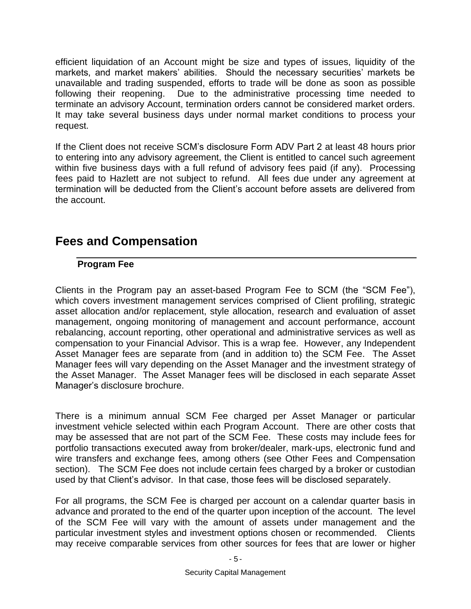efficient liquidation of an Account might be size and types of issues, liquidity of the markets, and market makers' abilities. Should the necessary securities' markets be unavailable and trading suspended, efforts to trade will be done as soon as possible following their reopening. Due to the administrative processing time needed to terminate an advisory Account, termination orders cannot be considered market orders. It may take several business days under normal market conditions to process your request.

If the Client does not receive SCM's disclosure Form ADV Part 2 at least 48 hours prior to entering into any advisory agreement, the Client is entitled to cancel such agreement within five business days with a full refund of advisory fees paid (if any). Processing fees paid to Hazlett are not subject to refund. All fees due under any agreement at termination will be deducted from the Client's account before assets are delivered from the account.

# <span id="page-8-1"></span><span id="page-8-0"></span>**Fees and Compensation**

#### **Program Fee**

Clients in the Program pay an asset-based Program Fee to SCM (the "SCM Fee"), which covers investment management services comprised of Client profiling, strategic asset allocation and/or replacement, style allocation, research and evaluation of asset management, ongoing monitoring of management and account performance, account rebalancing, account reporting, other operational and administrative services as well as compensation to your Financial Advisor. This is a wrap fee. However, any Independent Asset Manager fees are separate from (and in addition to) the SCM Fee. The Asset Manager fees will vary depending on the Asset Manager and the investment strategy of the Asset Manager. The Asset Manager fees will be disclosed in each separate Asset Manager's disclosure brochure.

There is a minimum annual SCM Fee charged per Asset Manager or particular investment vehicle selected within each Program Account. There are other costs that may be assessed that are not part of the SCM Fee. These costs may include fees for portfolio transactions executed away from broker/dealer, mark-ups, electronic fund and wire transfers and exchange fees, among others (see Other Fees and Compensation section). The SCM Fee does not include certain fees charged by a broker or custodian used by that Client's advisor. In that case, those fees will be disclosed separately.

For all programs, the SCM Fee is charged per account on a calendar quarter basis in advance and prorated to the end of the quarter upon inception of the account. The level of the SCM Fee will vary with the amount of assets under management and the particular investment styles and investment options chosen or recommended. Clients may receive comparable services from other sources for fees that are lower or higher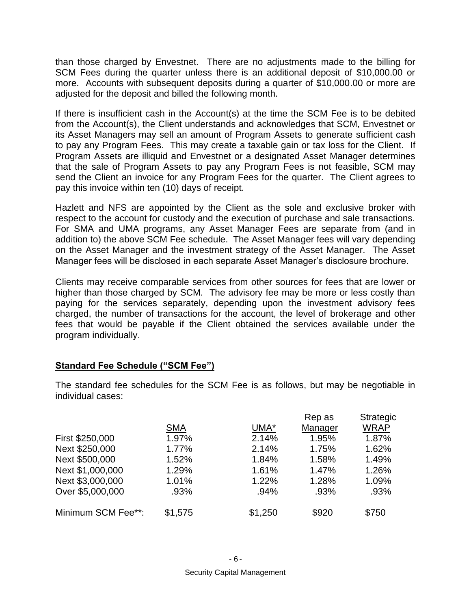than those charged by Envestnet. There are no adjustments made to the billing for SCM Fees during the quarter unless there is an additional deposit of \$10,000.00 or more. Accounts with subsequent deposits during a quarter of \$10,000.00 or more are adjusted for the deposit and billed the following month.

If there is insufficient cash in the Account(s) at the time the SCM Fee is to be debited from the Account(s), the Client understands and acknowledges that SCM, Envestnet or its Asset Managers may sell an amount of Program Assets to generate sufficient cash to pay any Program Fees. This may create a taxable gain or tax loss for the Client*.* If Program Assets are illiquid and Envestnet or a designated Asset Manager determines that the sale of Program Assets to pay any Program Fees is not feasible, SCM may send the Client an invoice for any Program Fees for the quarter. The Client agrees to pay this invoice within ten (10) days of receipt.

Hazlett and NFS are appointed by the Client as the sole and exclusive broker with respect to the account for custody and the execution of purchase and sale transactions. For SMA and UMA programs, any Asset Manager Fees are separate from (and in addition to) the above SCM Fee schedule. The Asset Manager fees will vary depending on the Asset Manager and the investment strategy of the Asset Manager. The Asset Manager fees will be disclosed in each separate Asset Manager's disclosure brochure.

Clients may receive comparable services from other sources for fees that are lower or higher than those charged by SCM. The advisory fee may be more or less costly than paying for the services separately, depending upon the investment advisory fees charged, the number of transactions for the account, the level of brokerage and other fees that would be payable if the Client obtained the services available under the program individually.

#### **Standard Fee Schedule ("SCM Fee")**

The standard fee schedules for the SCM Fee is as follows, but may be negotiable in individual cases:

|                    |            |         | Rep as  | <b>Strategic</b> |  |
|--------------------|------------|---------|---------|------------------|--|
|                    | <b>SMA</b> | UMA*    | Manager | <b>WRAP</b>      |  |
| First \$250,000    | 1.97%      | 2.14%   | 1.95%   | 1.87%            |  |
| Next \$250,000     | 1.77%      | 2.14%   | 1.75%   | 1.62%            |  |
| Next \$500,000     | 1.52%      | 1.84%   | 1.58%   | 1.49%            |  |
| Next \$1,000,000   | 1.29%      | 1.61%   | 1.47%   | 1.26%            |  |
| Next \$3,000,000   | 1.01%      | 1.22%   | 1.28%   | 1.09%            |  |
| Over \$5,000,000   | .93%       | .94%    | .93%    | .93%             |  |
| Minimum SCM Fee**: | \$1,575    | \$1,250 | \$920   | \$750            |  |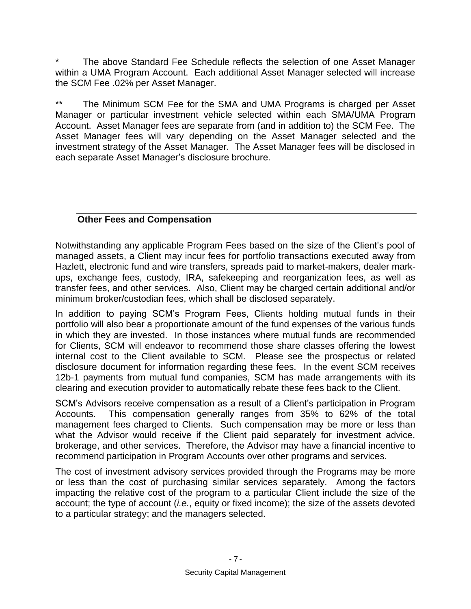The above Standard Fee Schedule reflects the selection of one Asset Manager within a UMA Program Account. Each additional Asset Manager selected will increase the SCM Fee .02% per Asset Manager.

\*\* The Minimum SCM Fee for the SMA and UMA Programs is charged per Asset Manager or particular investment vehicle selected within each SMA/UMA Program Account. Asset Manager fees are separate from (and in addition to) the SCM Fee. The Asset Manager fees will vary depending on the Asset Manager selected and the investment strategy of the Asset Manager. The Asset Manager fees will be disclosed in each separate Asset Manager's disclosure brochure.

### <span id="page-10-0"></span>**Other Fees and Compensation**

Notwithstanding any applicable Program Fees based on the size of the Client's pool of managed assets, a Client may incur fees for portfolio transactions executed away from Hazlett, electronic fund and wire transfers, spreads paid to market-makers, dealer markups, exchange fees, custody, IRA, safekeeping and reorganization fees, as well as transfer fees, and other services. Also, Client may be charged certain additional and/or minimum broker/custodian fees, which shall be disclosed separately.

In addition to paying SCM's Program Fees, Clients holding mutual funds in their portfolio will also bear a proportionate amount of the fund expenses of the various funds in which they are invested. In those instances where mutual funds are recommended for Clients, SCM will endeavor to recommend those share classes offering the lowest internal cost to the Client available to SCM. Please see the prospectus or related disclosure document for information regarding these fees. In the event SCM receives 12b-1 payments from mutual fund companies, SCM has made arrangements with its clearing and execution provider to automatically rebate these fees back to the Client.

SCM's Advisors receive compensation as a result of a Client's participation in Program Accounts. This compensation generally ranges from 35% to 62% of the total management fees charged to Clients. Such compensation may be more or less than what the Advisor would receive if the Client paid separately for investment advice, brokerage, and other services. Therefore, the Advisor may have a financial incentive to recommend participation in Program Accounts over other programs and services.

<span id="page-10-1"></span>The cost of investment advisory services provided through the Programs may be more or less than the cost of purchasing similar services separately. Among the factors impacting the relative cost of the program to a particular Client include the size of the account; the type of account (*i.e.*, equity or fixed income); the size of the assets devoted to a particular strategy; and the managers selected.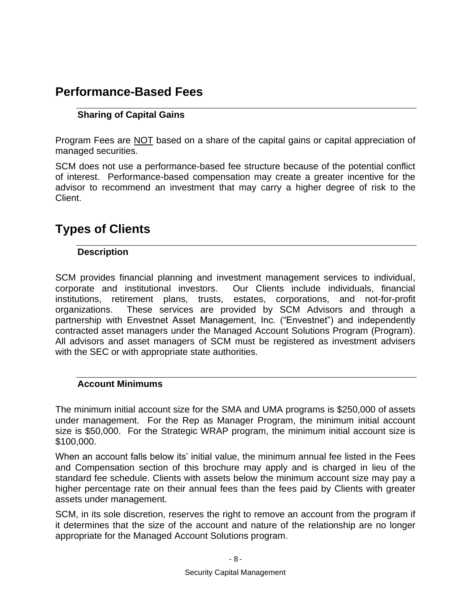# <span id="page-11-0"></span>**Performance-Based Fees**

### **Sharing of Capital Gains**

Program Fees are NOT based on a share of the capital gains or capital appreciation of managed securities.

SCM does not use a performance-based fee structure because of the potential conflict of interest. Performance-based compensation may create a greater incentive for the advisor to recommend an investment that may carry a higher degree of risk to the Client.

# <span id="page-11-2"></span><span id="page-11-1"></span>**Types of Clients**

#### **Description**

SCM provides financial planning and investment management services to individual, corporate and institutional investors. Our Clients include individuals, financial institutions, retirement plans, trusts, estates, corporations, and not-for-profit organizations. These services are provided by SCM Advisors and through a partnership with Envestnet Asset Management, Inc. ("Envestnet") and independently contracted asset managers under the Managed Account Solutions Program (Program). All advisors and asset managers of SCM must be registered as investment advisers with the SEC or with appropriate state authorities.

#### <span id="page-11-3"></span>**Account Minimums**

The minimum initial account size for the SMA and UMA programs is \$250,000 of assets under management. For the Rep as Manager Program, the minimum initial account size is \$50,000. For the Strategic WRAP program, the minimum initial account size is \$100,000.

When an account falls below its' initial value, the minimum annual fee listed in the Fees and Compensation section of this brochure may apply and is charged in lieu of the standard fee schedule. Clients with assets below the minimum account size may pay a higher percentage rate on their annual fees than the fees paid by Clients with greater assets under management.

SCM, in its sole discretion, reserves the right to remove an account from the program if it determines that the size of the account and nature of the relationship are no longer appropriate for the Managed Account Solutions program.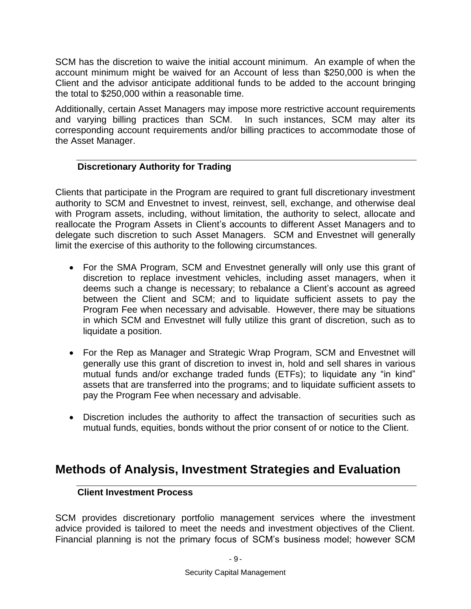SCM has the discretion to waive the initial account minimum. An example of when the account minimum might be waived for an Account of less than \$250,000 is when the Client and the advisor anticipate additional funds to be added to the account bringing the total to \$250,000 within a reasonable time.

Additionally, certain Asset Managers may impose more restrictive account requirements and varying billing practices than SCM. In such instances, SCM may alter its corresponding account requirements and/or billing practices to accommodate those of the Asset Manager.

#### <span id="page-12-0"></span>**Discretionary Authority for Trading**

Clients that participate in the Program are required to grant full discretionary investment authority to SCM and Envestnet to invest, reinvest, sell, exchange, and otherwise deal with Program assets, including, without limitation, the authority to select, allocate and reallocate the Program Assets in Client's accounts to different Asset Managers and to delegate such discretion to such Asset Managers. SCM and Envestnet will generally limit the exercise of this authority to the following circumstances.

- For the SMA Program, SCM and Envestnet generally will only use this grant of discretion to replace investment vehicles, including asset managers, when it deems such a change is necessary; to rebalance a Client's account as agreed between the Client and SCM; and to liquidate sufficient assets to pay the Program Fee when necessary and advisable. However, there may be situations in which SCM and Envestnet will fully utilize this grant of discretion, such as to liquidate a position.
- For the Rep as Manager and Strategic Wrap Program, SCM and Envestnet will generally use this grant of discretion to invest in, hold and sell shares in various mutual funds and/or exchange traded funds (ETFs); to liquidate any "in kind" assets that are transferred into the programs; and to liquidate sufficient assets to pay the Program Fee when necessary and advisable.
- Discretion includes the authority to affect the transaction of securities such as mutual funds, equities, bonds without the prior consent of or notice to the Client.

### <span id="page-12-2"></span><span id="page-12-1"></span>**Methods of Analysis, Investment Strategies and Evaluation**

#### **Client Investment Process**

SCM provides discretionary portfolio management services where the investment advice provided is tailored to meet the needs and investment objectives of the Client. Financial planning is not the primary focus of SCM's business model; however SCM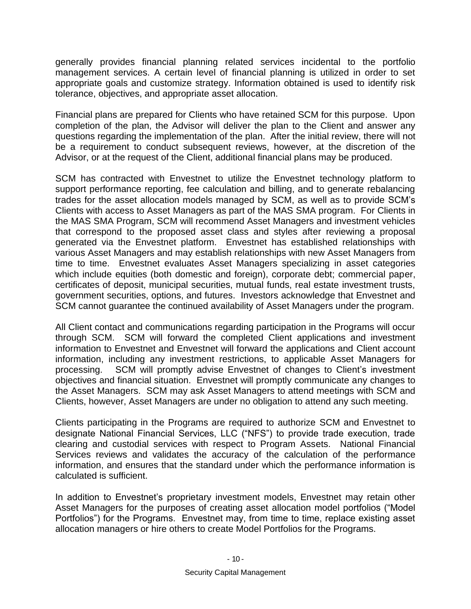generally provides financial planning related services incidental to the portfolio management services. A certain level of financial planning is utilized in order to set appropriate goals and customize strategy. Information obtained is used to identify risk tolerance, objectives, and appropriate asset allocation.

Financial plans are prepared for Clients who have retained SCM for this purpose. Upon completion of the plan, the Advisor will deliver the plan to the Client and answer any questions regarding the implementation of the plan. After the initial review, there will not be a requirement to conduct subsequent reviews, however, at the discretion of the Advisor, or at the request of the Client, additional financial plans may be produced.

SCM has contracted with Envestnet to utilize the Envestnet technology platform to support performance reporting, fee calculation and billing, and to generate rebalancing trades for the asset allocation models managed by SCM, as well as to provide SCM's Clients with access to Asset Managers as part of the MAS SMA program. For Clients in the MAS SMA Program, SCM will recommend Asset Managers and investment vehicles that correspond to the proposed asset class and styles after reviewing a proposal generated via the Envestnet platform. Envestnet has established relationships with various Asset Managers and may establish relationships with new Asset Managers from time to time. Envestnet evaluates Asset Managers specializing in asset categories which include equities (both domestic and foreign), corporate debt; commercial paper, certificates of deposit, municipal securities, mutual funds, real estate investment trusts, government securities, options, and futures. Investors acknowledge that Envestnet and SCM cannot guarantee the continued availability of Asset Managers under the program.

All Client contact and communications regarding participation in the Programs will occur through SCM. SCM will forward the completed Client applications and investment information to Envestnet and Envestnet will forward the applications and Client account information, including any investment restrictions, to applicable Asset Managers for processing. SCM will promptly advise Envestnet of changes to Client's investment objectives and financial situation. Envestnet will promptly communicate any changes to the Asset Managers. SCM may ask Asset Managers to attend meetings with SCM and Clients, however, Asset Managers are under no obligation to attend any such meeting.

Clients participating in the Programs are required to authorize SCM and Envestnet to designate National Financial Services, LLC ("NFS") to provide trade execution, trade clearing and custodial services with respect to Program Assets. National Financial Services reviews and validates the accuracy of the calculation of the performance information, and ensures that the standard under which the performance information is calculated is sufficient.

In addition to Envestnet's proprietary investment models, Envestnet may retain other Asset Managers for the purposes of creating asset allocation model portfolios ("Model Portfolios") for the Programs. Envestnet may, from time to time, replace existing asset allocation managers or hire others to create Model Portfolios for the Programs.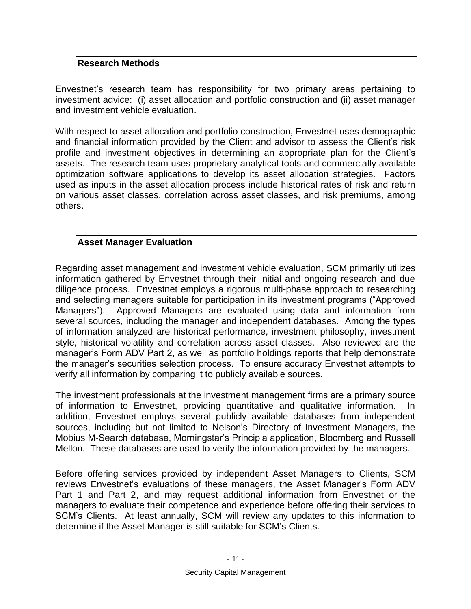#### <span id="page-14-0"></span>**Research Methods**

Envestnet's research team has responsibility for two primary areas pertaining to investment advice: (i) asset allocation and portfolio construction and (ii) asset manager and investment vehicle evaluation.

With respect to asset allocation and portfolio construction, Envestnet uses demographic and financial information provided by the Client and advisor to assess the Client's risk profile and investment objectives in determining an appropriate plan for the Client's assets. The research team uses proprietary analytical tools and commercially available optimization software applications to develop its asset allocation strategies. Factors used as inputs in the asset allocation process include historical rates of risk and return on various asset classes, correlation across asset classes, and risk premiums, among others.

#### <span id="page-14-1"></span>**Asset Manager Evaluation**

Regarding asset management and investment vehicle evaluation, SCM primarily utilizes information gathered by Envestnet through their initial and ongoing research and due diligence process. Envestnet employs a rigorous multi-phase approach to researching and selecting managers suitable for participation in its investment programs ("Approved Managers"). Approved Managers are evaluated using data and information from several sources, including the manager and independent databases. Among the types of information analyzed are historical performance, investment philosophy, investment style, historical volatility and correlation across asset classes. Also reviewed are the manager's Form ADV Part 2, as well as portfolio holdings reports that help demonstrate the manager's securities selection process. To ensure accuracy Envestnet attempts to verify all information by comparing it to publicly available sources.

The investment professionals at the investment management firms are a primary source of information to Envestnet, providing quantitative and qualitative information. In addition, Envestnet employs several publicly available databases from independent sources, including but not limited to Nelson's Directory of Investment Managers, the Mobius M-Search database, Morningstar's Principia application, Bloomberg and Russell Mellon. These databases are used to verify the information provided by the managers.

Before offering services provided by independent Asset Managers to Clients, SCM reviews Envestnet's evaluations of these managers, the Asset Manager's Form ADV Part 1 and Part 2, and may request additional information from Envestnet or the managers to evaluate their competence and experience before offering their services to SCM's Clients. At least annually, SCM will review any updates to this information to determine if the Asset Manager is still suitable for SCM's Clients.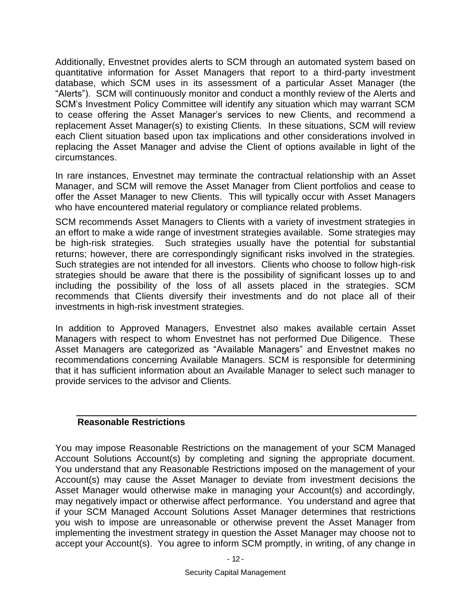Additionally, Envestnet provides alerts to SCM through an automated system based on quantitative information for Asset Managers that report to a third-party investment database, which SCM uses in its assessment of a particular Asset Manager (the "Alerts"). SCM will continuously monitor and conduct a monthly review of the Alerts and SCM's Investment Policy Committee will identify any situation which may warrant SCM to cease offering the Asset Manager's services to new Clients, and recommend a replacement Asset Manager(s) to existing Clients. In these situations, SCM will review each Client situation based upon tax implications and other considerations involved in replacing the Asset Manager and advise the Client of options available in light of the circumstances.

In rare instances, Envestnet may terminate the contractual relationship with an Asset Manager, and SCM will remove the Asset Manager from Client portfolios and cease to offer the Asset Manager to new Clients. This will typically occur with Asset Managers who have encountered material regulatory or compliance related problems.

SCM recommends Asset Managers to Clients with a variety of investment strategies in an effort to make a wide range of investment strategies available. Some strategies may be high-risk strategies. Such strategies usually have the potential for substantial returns; however, there are correspondingly significant risks involved in the strategies. Such strategies are not intended for all investors. Clients who choose to follow high-risk strategies should be aware that there is the possibility of significant losses up to and including the possibility of the loss of all assets placed in the strategies. SCM recommends that Clients diversify their investments and do not place all of their investments in high-risk investment strategies.

In addition to Approved Managers, Envestnet also makes available certain Asset Managers with respect to whom Envestnet has not performed Due Diligence. These Asset Managers are categorized as "Available Managers" and Envestnet makes no recommendations concerning Available Managers. SCM is responsible for determining that it has sufficient information about an Available Manager to select such manager to provide services to the advisor and Clients.

#### <span id="page-15-0"></span>**Reasonable Restrictions**

You may impose Reasonable Restrictions on the management of your SCM Managed Account Solutions Account(s) by completing and signing the appropriate document. You understand that any Reasonable Restrictions imposed on the management of your Account(s) may cause the Asset Manager to deviate from investment decisions the Asset Manager would otherwise make in managing your Account(s) and accordingly, may negatively impact or otherwise affect performance. You understand and agree that if your SCM Managed Account Solutions Asset Manager determines that restrictions you wish to impose are unreasonable or otherwise prevent the Asset Manager from implementing the investment strategy in question the Asset Manager may choose not to accept your Account(s). You agree to inform SCM promptly, in writing, of any change in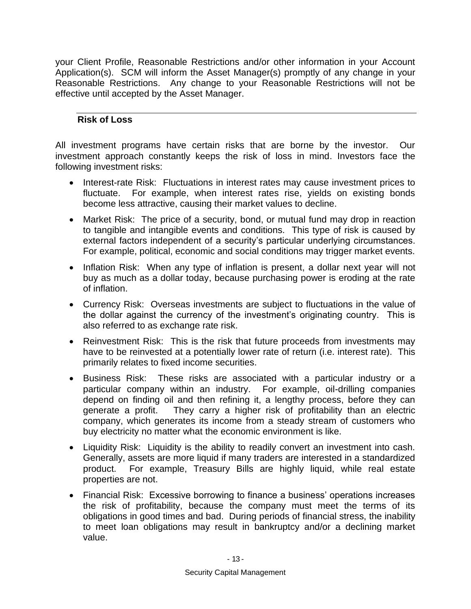your Client Profile, Reasonable Restrictions and/or other information in your Account Application(s). SCM will inform the Asset Manager(s) promptly of any change in your Reasonable Restrictions. Any change to your Reasonable Restrictions will not be effective until accepted by the Asset Manager.

### <span id="page-16-0"></span>**Risk of Loss**

All investment programs have certain risks that are borne by the investor. Our investment approach constantly keeps the risk of loss in mind. Investors face the following investment risks:

- Interest-rate Risk: Fluctuations in interest rates may cause investment prices to fluctuate. For example, when interest rates rise, yields on existing bonds become less attractive, causing their market values to decline.
- Market Risk: The price of a security, bond, or mutual fund may drop in reaction to tangible and intangible events and conditions. This type of risk is caused by external factors independent of a security's particular underlying circumstances. For example, political, economic and social conditions may trigger market events.
- Inflation Risk: When any type of inflation is present, a dollar next year will not buy as much as a dollar today, because purchasing power is eroding at the rate of inflation.
- Currency Risk: Overseas investments are subject to fluctuations in the value of the dollar against the currency of the investment's originating country. This is also referred to as exchange rate risk.
- Reinvestment Risk: This is the risk that future proceeds from investments may have to be reinvested at a potentially lower rate of return (i.e. interest rate). This primarily relates to fixed income securities.
- Business Risk: These risks are associated with a particular industry or a particular company within an industry. For example, oil-drilling companies depend on finding oil and then refining it, a lengthy process, before they can generate a profit. They carry a higher risk of profitability than an electric company, which generates its income from a steady stream of customers who buy electricity no matter what the economic environment is like.
- Liquidity Risk: Liquidity is the ability to readily convert an investment into cash. Generally, assets are more liquid if many traders are interested in a standardized product. For example, Treasury Bills are highly liquid, while real estate properties are not.
- Financial Risk: Excessive borrowing to finance a business' operations increases the risk of profitability, because the company must meet the terms of its obligations in good times and bad. During periods of financial stress, the inability to meet loan obligations may result in bankruptcy and/or a declining market value.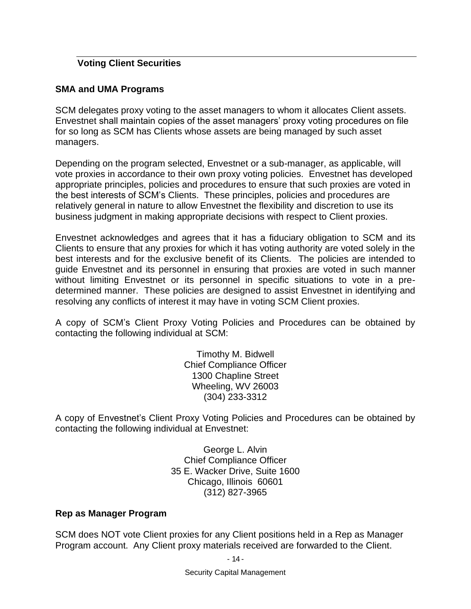#### <span id="page-17-0"></span>**Voting Client Securities**

#### **SMA and UMA Programs**

SCM delegates proxy voting to the asset managers to whom it allocates Client assets. Envestnet shall maintain copies of the asset managers' proxy voting procedures on file for so long as SCM has Clients whose assets are being managed by such asset managers.

Depending on the program selected, Envestnet or a sub-manager, as applicable, will vote proxies in accordance to their own proxy voting policies. Envestnet has developed appropriate principles, policies and procedures to ensure that such proxies are voted in the best interests of SCM's Clients. These principles, policies and procedures are relatively general in nature to allow Envestnet the flexibility and discretion to use its business judgment in making appropriate decisions with respect to Client proxies.

Envestnet acknowledges and agrees that it has a fiduciary obligation to SCM and its Clients to ensure that any proxies for which it has voting authority are voted solely in the best interests and for the exclusive benefit of its Clients. The policies are intended to guide Envestnet and its personnel in ensuring that proxies are voted in such manner without limiting Envestnet or its personnel in specific situations to vote in a predetermined manner. These policies are designed to assist Envestnet in identifying and resolving any conflicts of interest it may have in voting SCM Client proxies.

A copy of SCM's Client Proxy Voting Policies and Procedures can be obtained by contacting the following individual at SCM:

> Timothy M. Bidwell Chief Compliance Officer 1300 Chapline Street Wheeling, WV 26003 (304) 233-3312

A copy of Envestnet's Client Proxy Voting Policies and Procedures can be obtained by contacting the following individual at Envestnet:

> George L. Alvin Chief Compliance Officer 35 E. Wacker Drive, Suite 1600 Chicago, Illinois 60601 (312) 827-3965

#### **Rep as Manager Program**

SCM does NOT vote Client proxies for any Client positions held in a Rep as Manager Program account. Any Client proxy materials received are forwarded to the Client.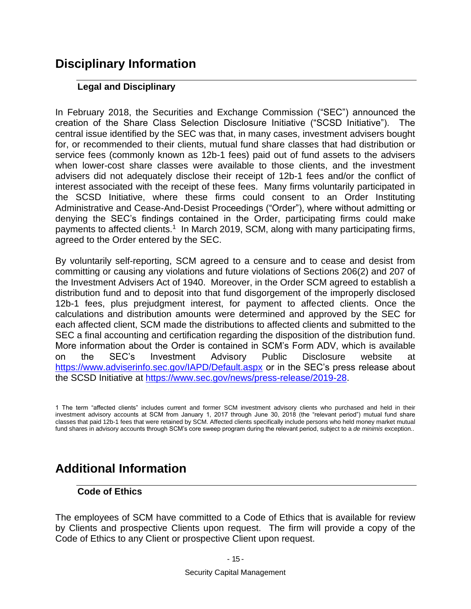# <span id="page-18-1"></span><span id="page-18-0"></span>**Disciplinary Information**

#### **Legal and Disciplinary**

In February 2018, the Securities and Exchange Commission ("SEC") announced the creation of the Share Class Selection Disclosure Initiative ("SCSD Initiative"). The central issue identified by the SEC was that, in many cases, investment advisers bought for, or recommended to their clients, mutual fund share classes that had distribution or service fees (commonly known as 12b-1 fees) paid out of fund assets to the advisers when lower-cost share classes were available to those clients, and the investment advisers did not adequately disclose their receipt of 12b-1 fees and/or the conflict of interest associated with the receipt of these fees. Many firms voluntarily participated in the SCSD Initiative, where these firms could consent to an Order Instituting Administrative and Cease-And-Desist Proceedings ("Order"), where without admitting or denying the SEC's findings contained in the Order, participating firms could make payments to affected clients.<sup>1</sup> In March 2019, SCM, along with many participating firms, agreed to the Order entered by the SEC.

By voluntarily self-reporting, SCM agreed to a censure and to cease and desist from committing or causing any violations and future violations of Sections 206(2) and 207 of the Investment Advisers Act of 1940. Moreover, in the Order SCM agreed to establish a distribution fund and to deposit into that fund disgorgement of the improperly disclosed 12b-1 fees, plus prejudgment interest, for payment to affected clients. Once the calculations and distribution amounts were determined and approved by the SEC for each affected client, SCM made the distributions to affected clients and submitted to the SEC a final accounting and certification regarding the disposition of the distribution fund. More information about the Order is contained in SCM's Form ADV, which is available on the SEC's Investment Advisory Public Disclosure website at <https://www.adviserinfo.sec.gov/IAPD/Default.aspx> or in the SEC's press release about the SCSD Initiative at [https://www.sec.gov/news/press-release/2019-28.](https://www.sec.gov/news/press-release/2019-28)

1 The term "affected clients" includes current and former SCM investment advisory clients who purchased and held in their investment advisory accounts at SCM from January 1, 2017 through June 30, 2018 (the "relevant period") mutual fund share classes that paid 12b-1 fees that were retained by SCM. Affected clients specifically include persons who held money market mutual fund shares in advisory accounts through SCM's core sweep program during the relevant period, subject to a *de minimis* exception..

# <span id="page-18-3"></span><span id="page-18-2"></span>**Additional Information**

#### **Code of Ethics**

The employees of SCM have committed to a Code of Ethics that is available for review by Clients and prospective Clients upon request. The firm will provide a copy of the Code of Ethics to any Client or prospective Client upon request.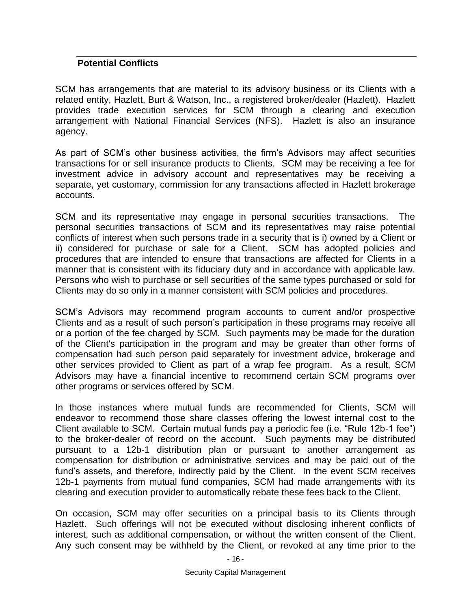#### <span id="page-19-0"></span>**Potential Conflicts**

SCM has arrangements that are material to its advisory business or its Clients with a related entity, Hazlett, Burt & Watson, Inc., a registered broker/dealer (Hazlett). Hazlett provides trade execution services for SCM through a clearing and execution arrangement with National Financial Services (NFS). Hazlett is also an insurance agency.

As part of SCM's other business activities, the firm's Advisors may affect securities transactions for or sell insurance products to Clients. SCM may be receiving a fee for investment advice in advisory account and representatives may be receiving a separate, yet customary, commission for any transactions affected in Hazlett brokerage accounts.

SCM and its representative may engage in personal securities transactions. The personal securities transactions of SCM and its representatives may raise potential conflicts of interest when such persons trade in a security that is i) owned by a Client or ii) considered for purchase or sale for a Client. SCM has adopted policies and procedures that are intended to ensure that transactions are affected for Clients in a manner that is consistent with its fiduciary duty and in accordance with applicable law. Persons who wish to purchase or sell securities of the same types purchased or sold for Clients may do so only in a manner consistent with SCM policies and procedures.

SCM's Advisors may recommend program accounts to current and/or prospective Clients and as a result of such person's participation in these programs may receive all or a portion of the fee charged by SCM. Such payments may be made for the duration of the Client's participation in the program and may be greater than other forms of compensation had such person paid separately for investment advice, brokerage and other services provided to Client as part of a wrap fee program. As a result, SCM Advisors may have a financial incentive to recommend certain SCM programs over other programs or services offered by SCM.

In those instances where mutual funds are recommended for Clients, SCM will endeavor to recommend those share classes offering the lowest internal cost to the Client available to SCM. Certain mutual funds pay a periodic fee (i.e. "Rule 12b-1 fee") to the broker-dealer of record on the account. Such payments may be distributed pursuant to a 12b-1 distribution plan or pursuant to another arrangement as compensation for distribution or administrative services and may be paid out of the fund's assets, and therefore, indirectly paid by the Client. In the event SCM receives 12b-1 payments from mutual fund companies, SCM had made arrangements with its clearing and execution provider to automatically rebate these fees back to the Client.

On occasion, SCM may offer securities on a principal basis to its Clients through Hazlett. Such offerings will not be executed without disclosing inherent conflicts of interest, such as additional compensation, or without the written consent of the Client. Any such consent may be withheld by the Client, or revoked at any time prior to the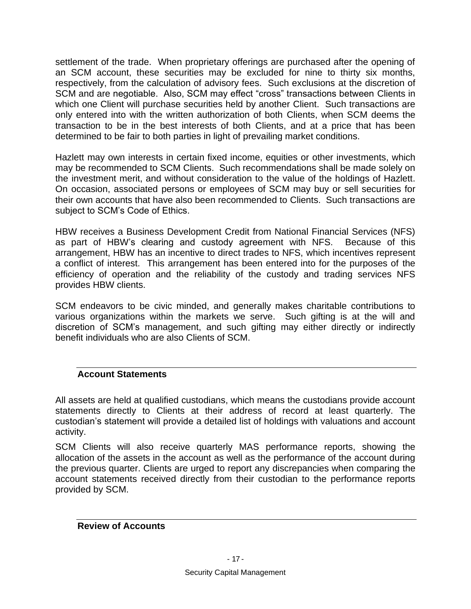settlement of the trade. When proprietary offerings are purchased after the opening of an SCM account, these securities may be excluded for nine to thirty six months, respectively, from the calculation of advisory fees. Such exclusions at the discretion of SCM and are negotiable. Also, SCM may effect "cross" transactions between Clients in which one Client will purchase securities held by another Client. Such transactions are only entered into with the written authorization of both Clients, when SCM deems the transaction to be in the best interests of both Clients, and at a price that has been determined to be fair to both parties in light of prevailing market conditions.

Hazlett may own interests in certain fixed income, equities or other investments, which may be recommended to SCM Clients. Such recommendations shall be made solely on the investment merit, and without consideration to the value of the holdings of Hazlett. On occasion, associated persons or employees of SCM may buy or sell securities for their own accounts that have also been recommended to Clients. Such transactions are subject to SCM's Code of Ethics.

HBW receives a Business Development Credit from National Financial Services (NFS) as part of HBW's clearing and custody agreement with NFS. Because of this arrangement, HBW has an incentive to direct trades to NFS, which incentives represent a conflict of interest. This arrangement has been entered into for the purposes of the efficiency of operation and the reliability of the custody and trading services NFS provides HBW clients.

SCM endeavors to be civic minded, and generally makes charitable contributions to various organizations within the markets we serve. Such gifting is at the will and discretion of SCM's management, and such gifting may either directly or indirectly benefit individuals who are also Clients of SCM.

#### <span id="page-20-0"></span>**Account Statements**

All assets are held at qualified custodians, which means the custodians provide account statements directly to Clients at their address of record at least quarterly. The custodian's statement will provide a detailed list of holdings with valuations and account activity.

SCM Clients will also receive quarterly MAS performance reports, showing the allocation of the assets in the account as well as the performance of the account during the previous quarter. Clients are urged to report any discrepancies when comparing the account statements received directly from their custodian to the performance reports provided by SCM.

<span id="page-20-1"></span>**Review of Accounts**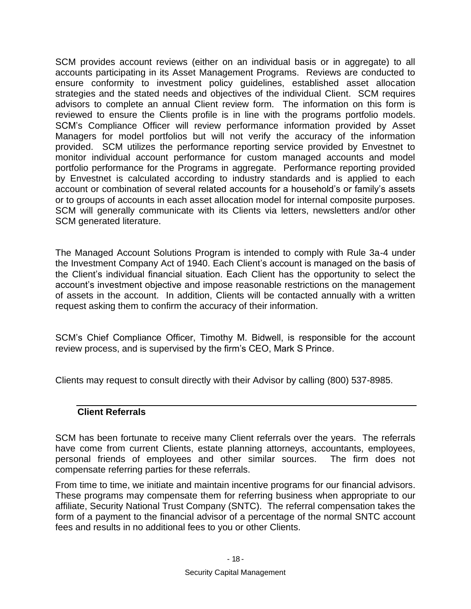SCM provides account reviews (either on an individual basis or in aggregate) to all accounts participating in its Asset Management Programs. Reviews are conducted to ensure conformity to investment policy guidelines, established asset allocation strategies and the stated needs and objectives of the individual Client. SCM requires advisors to complete an annual Client review form. The information on this form is reviewed to ensure the Clients profile is in line with the programs portfolio models. SCM's Compliance Officer will review performance information provided by Asset Managers for model portfolios but will not verify the accuracy of the information provided. SCM utilizes the performance reporting service provided by Envestnet to monitor individual account performance for custom managed accounts and model portfolio performance for the Programs in aggregate. Performance reporting provided by Envestnet is calculated according to industry standards and is applied to each account or combination of several related accounts for a household's or family's assets or to groups of accounts in each asset allocation model for internal composite purposes. SCM will generally communicate with its Clients via letters, newsletters and/or other SCM generated literature.

The Managed Account Solutions Program is intended to comply with Rule 3a-4 under the Investment Company Act of 1940. Each Client's account is managed on the basis of the Client's individual financial situation. Each Client has the opportunity to select the account's investment objective and impose reasonable restrictions on the management of assets in the account. In addition, Clients will be contacted annually with a written request asking them to confirm the accuracy of their information.

SCM's Chief Compliance Officer, Timothy M. Bidwell, is responsible for the account review process, and is supervised by the firm's CEO, Mark S Prince.

<span id="page-21-0"></span>Clients may request to consult directly with their Advisor by calling (800) 537-8985.

#### **Client Referrals**

SCM has been fortunate to receive many Client referrals over the years. The referrals have come from current Clients, estate planning attorneys, accountants, employees, personal friends of employees and other similar sources. The firm does not compensate referring parties for these referrals.

From time to time, we initiate and maintain incentive programs for our financial advisors. These programs may compensate them for referring business when appropriate to our affiliate, Security National Trust Company (SNTC). The referral compensation takes the form of a payment to the financial advisor of a percentage of the normal SNTC account fees and results in no additional fees to you or other Clients.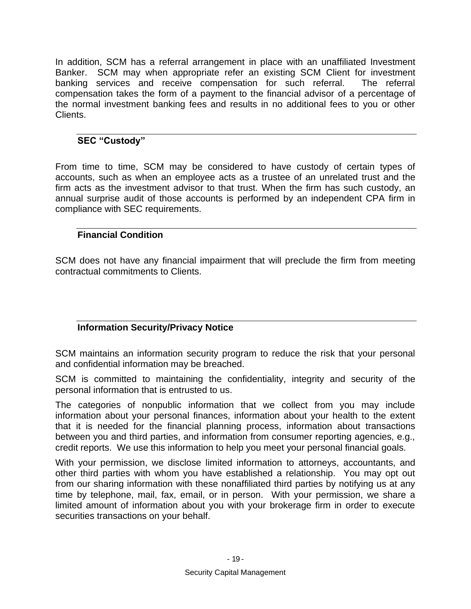In addition, SCM has a referral arrangement in place with an unaffiliated Investment Banker. SCM may when appropriate refer an existing SCM Client for investment banking services and receive compensation for such referral. The referral compensation takes the form of a payment to the financial advisor of a percentage of the normal investment banking fees and results in no additional fees to you or other Clients.

#### <span id="page-22-0"></span>**SEC "Custody"**

From time to time, SCM may be considered to have custody of certain types of accounts, such as when an employee acts as a trustee of an unrelated trust and the firm acts as the investment advisor to that trust. When the firm has such custody, an annual surprise audit of those accounts is performed by an independent CPA firm in compliance with SEC requirements.

### <span id="page-22-1"></span>**Financial Condition**

SCM does not have any financial impairment that will preclude the firm from meeting contractual commitments to Clients.

### <span id="page-22-2"></span>**Information Security/Privacy Notice**

SCM maintains an information security program to reduce the risk that your personal and confidential information may be breached.

SCM is committed to maintaining the confidentiality, integrity and security of the personal information that is entrusted to us.

The categories of nonpublic information that we collect from you may include information about your personal finances, information about your health to the extent that it is needed for the financial planning process, information about transactions between you and third parties, and information from consumer reporting agencies, e.g., credit reports. We use this information to help you meet your personal financial goals.

With your permission, we disclose limited information to attorneys, accountants, and other third parties with whom you have established a relationship. You may opt out from our sharing information with these nonaffiliated third parties by notifying us at any time by telephone, mail, fax, email, or in person. With your permission, we share a limited amount of information about you with your brokerage firm in order to execute securities transactions on your behalf.